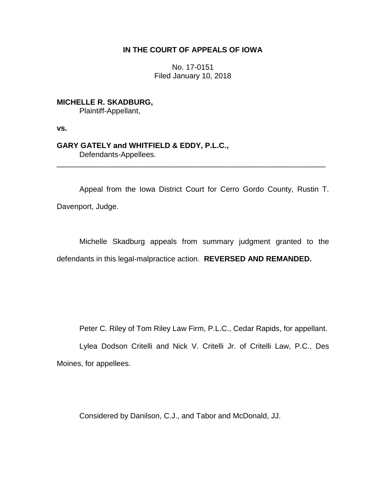# **IN THE COURT OF APPEALS OF IOWA**

No. 17-0151 Filed January 10, 2018

**MICHELLE R. SKADBURG,** Plaintiff-Appellant,

**vs.**

## **GARY GATELY and WHITFIELD & EDDY, P.L.C.,** Defendants-Appellees.

Appeal from the Iowa District Court for Cerro Gordo County, Rustin T. Davenport, Judge.

\_\_\_\_\_\_\_\_\_\_\_\_\_\_\_\_\_\_\_\_\_\_\_\_\_\_\_\_\_\_\_\_\_\_\_\_\_\_\_\_\_\_\_\_\_\_\_\_\_\_\_\_\_\_\_\_\_\_\_\_\_\_\_\_

Michelle Skadburg appeals from summary judgment granted to the defendants in this legal-malpractice action. **REVERSED AND REMANDED.**

Peter C. Riley of Tom Riley Law Firm, P.L.C., Cedar Rapids, for appellant.

Lylea Dodson Critelli and Nick V. Critelli Jr. of Critelli Law, P.C., Des Moines, for appellees.

Considered by Danilson, C.J., and Tabor and McDonald, JJ.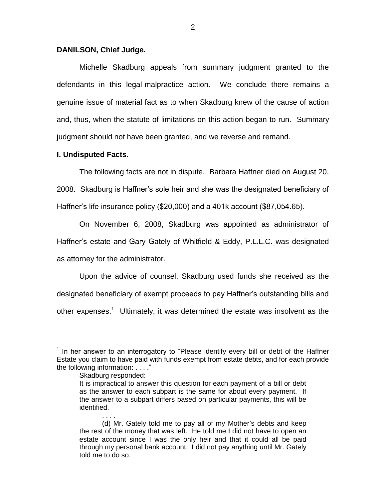## **DANILSON, Chief Judge.**

Michelle Skadburg appeals from summary judgment granted to the defendants in this legal-malpractice action. We conclude there remains a genuine issue of material fact as to when Skadburg knew of the cause of action and, thus, when the statute of limitations on this action began to run. Summary judgment should not have been granted, and we reverse and remand.

## **I. Undisputed Facts.**

The following facts are not in dispute. Barbara Haffner died on August 20, 2008. Skadburg is Haffner's sole heir and she was the designated beneficiary of Haffner's life insurance policy (\$20,000) and a 401k account (\$87,054.65).

On November 6, 2008, Skadburg was appointed as administrator of Haffner's estate and Gary Gately of Whitfield & Eddy, P.L.L.C. was designated as attorney for the administrator.

Upon the advice of counsel, Skadburg used funds she received as the designated beneficiary of exempt proceeds to pay Haffner's outstanding bills and other expenses.<sup>1</sup> Ultimately, it was determined the estate was insolvent as the

. . . .

 $\overline{a}$ 

<sup>&</sup>lt;sup>1</sup> In her answer to an interrogatory to "Please identify every bill or debt of the Haffner Estate you claim to have paid with funds exempt from estate debts, and for each provide the following information: . . . ."

Skadburg responded:

It is impractical to answer this question for each payment of a bill or debt as the answer to each subpart is the same for about every payment. If the answer to a subpart differs based on particular payments, this will be identified.

<sup>(</sup>d) Mr. Gately told me to pay all of my Mother's debts and keep the rest of the money that was left. He told me I did not have to open an estate account since I was the only heir and that it could all be paid through my personal bank account. I did not pay anything until Mr. Gately told me to do so.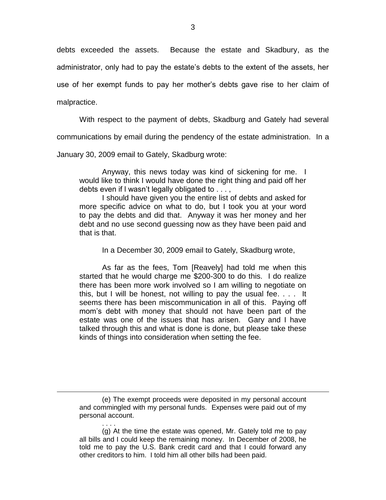debts exceeded the assets. Because the estate and Skadbury, as the administrator, only had to pay the estate's debts to the extent of the assets, her use of her exempt funds to pay her mother's debts gave rise to her claim of

malpractice.

 $\overline{a}$ 

. . . .

With respect to the payment of debts, Skadburg and Gately had several

communications by email during the pendency of the estate administration. In a

January 30, 2009 email to Gately, Skadburg wrote:

Anyway, this news today was kind of sickening for me. I would like to think I would have done the right thing and paid off her debts even if l wasn't legally obligated to . . . ,

I should have given you the entire list of debts and asked for more specific advice on what to do, but I took you at your word to pay the debts and did that. Anyway it was her money and her debt and no use second guessing now as they have been paid and that is that.

In a December 30, 2009 email to Gately, Skadburg wrote,

As far as the fees, Tom [Reavely] had told me when this started that he would charge me \$200-300 to do this. I do realize there has been more work involved so I am willing to negotiate on this, but I will be honest, not willing to pay the usual fee. . . . It seems there has been miscommunication in all of this.Paying off mom's debt with money that should not have been part of the estate was one of the issues that has arisen. Gary and I have talked through this and what is done is done, but please take these kinds of things into consideration when setting the fee.

<sup>(</sup>e) The exempt proceeds were deposited in my personal account and commingled with my personal funds. Expenses were paid out of my personal account.

<sup>(</sup>g) At the time the estate was opened, Mr. Gately told me to pay all bills and I could keep the remaining money. In December of 2008, he told me to pay the U.S. Bank credit card and that I could forward any other creditors to him. I told him all other bills had been paid.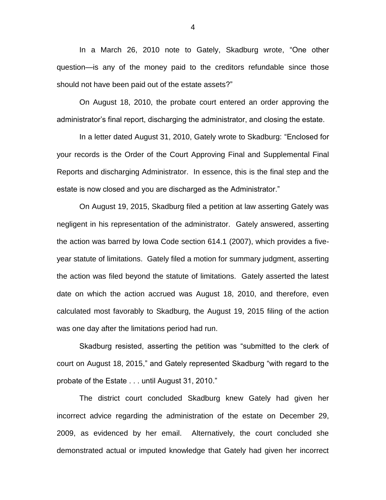In a March 26, 2010 note to Gately, Skadburg wrote, "One other question—is any of the money paid to the creditors refundable since those should not have been paid out of the estate assets?"

On August 18, 2010, the probate court entered an order approving the administrator's final report, discharging the administrator, and closing the estate.

In a letter dated August 31, 2010, Gately wrote to Skadburg: "Enclosed for your records is the Order of the Court Approving Final and Supplemental Final Reports and discharging Administrator. In essence, this is the final step and the estate is now closed and you are discharged as the Administrator."

On August 19, 2015, Skadburg filed a petition at law asserting Gately was negligent in his representation of the administrator. Gately answered, asserting the action was barred by Iowa Code section 614.1 (2007), which provides a fiveyear statute of limitations. Gately filed a motion for summary judgment, asserting the action was filed beyond the statute of limitations. Gately asserted the latest date on which the action accrued was August 18, 2010, and therefore, even calculated most favorably to Skadburg, the August 19, 2015 filing of the action was one day after the limitations period had run.

Skadburg resisted, asserting the petition was "submitted to the clerk of court on August 18, 2015," and Gately represented Skadburg "with regard to the probate of the Estate . . . until August 31, 2010."

The district court concluded Skadburg knew Gately had given her incorrect advice regarding the administration of the estate on December 29, 2009, as evidenced by her email. Alternatively, the court concluded she demonstrated actual or imputed knowledge that Gately had given her incorrect

4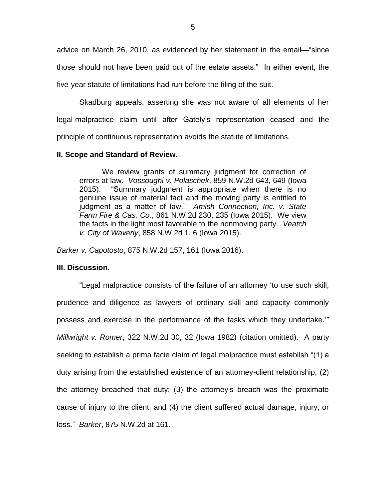advice on March 26, 2010, as evidenced by her statement in the email—"since those should not have been paid out of the estate assets." In either event, the five-year statute of limitations had run before the filing of the suit.

Skadburg appeals, asserting she was not aware of all elements of her legal-malpractice claim until after Gately's representation ceased and the principle of continuous representation avoids the statute of limitations.

## **II. Scope and Standard of Review.**

We review grants of summary judgment for correction of errors at law. *Vossoughi v. Polaschek*, 859 N.W.2d 643, 649 (Iowa 2015). "Summary judgment is appropriate when there is no genuine issue of material fact and the moving party is entitled to judgment as a matter of law." *Amish Connection, Inc. v. State Farm Fire & Cas. Co.*, 861 N.W.2d 230, 235 (Iowa 2015). We view the facts in the light most favorable to the nonmoving party. *Veatch v. City of Waverly*, 858 N.W.2d 1, 6 (Iowa 2015).

*Barker v. Capotosto*, 875 N.W.2d 157, 161 (Iowa 2016).

## **III. Discussion.**

"Legal malpractice consists of the failure of an attorney 'to use such skill, prudence and diligence as lawyers of ordinary skill and capacity commonly possess and exercise in the performance of the tasks which they undertake.'" *Millwright v. Romer*, 322 N.W.2d 30, 32 (Iowa 1982) (citation omitted). A party seeking to establish a prima facie claim of legal malpractice must establish "(1) a duty arising from the established existence of an attorney-client relationship; (2) the attorney breached that duty; (3) the attorney's breach was the proximate cause of injury to the client; and (4) the client suffered actual damage, injury, or loss." *Barker*, 875 N.W.2d at 161.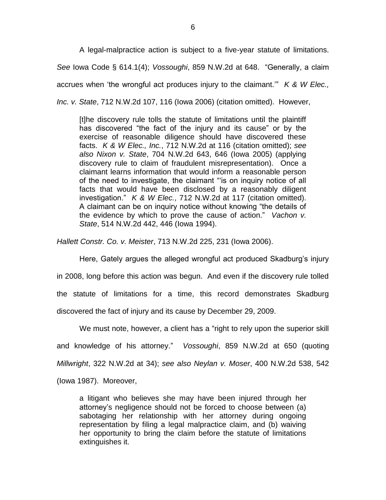A legal-malpractice action is subject to a five-year statute of limitations. *See* Iowa Code § 614.1(4); *Vossoughi*, 859 N.W.2d at 648. "Generally, a claim accrues when 'the wrongful act produces injury to the claimant.'" *K & W Elec., Inc. v. State*, 712 N.W.2d 107, 116 (Iowa 2006) (citation omitted). However,

[t]he discovery rule tolls the statute of limitations until the plaintiff has discovered "the fact of the injury and its cause" or by the exercise of reasonable diligence should have discovered these facts. *K & W Elec., Inc.*, 712 N.W.2d at 116 (citation omitted); *see also Nixon v. State*, 704 N.W.2d 643, 646 (Iowa 2005) (applying discovery rule to claim of fraudulent misrepresentation). Once a claimant learns information that would inform a reasonable person of the need to investigate, the claimant "'is on inquiry notice of all facts that would have been disclosed by a reasonably diligent investigation." *K & W Elec.*, 712 N.W.2d at 117 (citation omitted). A claimant can be on inquiry notice without knowing "the details of the evidence by which to prove the cause of action." *Vachon v. State*, 514 N.W.2d 442, 446 (Iowa 1994).

*Hallett Constr. Co. v. Meister*, 713 N.W.2d 225, 231 (Iowa 2006).

Here, Gately argues the alleged wrongful act produced Skadburg's injury in 2008, long before this action was begun. And even if the discovery rule tolled the statute of limitations for a time, this record demonstrates Skadburg discovered the fact of injury and its cause by December 29, 2009.

We must note, however, a client has a "right to rely upon the superior skill and knowledge of his attorney." *Vossoughi*, 859 N.W.2d at 650 (quoting *Millwright*, 322 N.W.2d at 34); *see also Neylan v. Moser*, 400 N.W.2d 538, 542 (Iowa 1987). Moreover,

a litigant who believes she may have been injured through her attorney's negligence should not be forced to choose between (a) sabotaging her relationship with her attorney during ongoing representation by filing a legal malpractice claim, and (b) waiving her opportunity to bring the claim before the statute of limitations extinguishes it.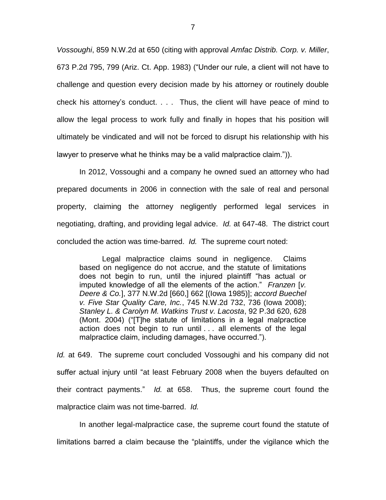*Vossoughi*, 859 N.W.2d at 650 (citing with approval *Amfac Distrib. Corp. v. Miller*, 673 P.2d 795, 799 (Ariz. Ct. App. 1983) ("Under our rule, a client will not have to challenge and question every decision made by his attorney or routinely double check his attorney's conduct. . . . Thus, the client will have peace of mind to allow the legal process to work fully and finally in hopes that his position will ultimately be vindicated and will not be forced to disrupt his relationship with his lawyer to preserve what he thinks may be a valid malpractice claim.")).

In 2012, Vossoughi and a company he owned sued an attorney who had prepared documents in 2006 in connection with the sale of real and personal property, claiming the attorney negligently performed legal services in negotiating, drafting, and providing legal advice. *Id.* at 647-48. The district court concluded the action was time-barred. *Id.* The supreme court noted:

Legal malpractice claims sound in negligence. Claims based on negligence do not accrue, and the statute of limitations does not begin to run, until the injured plaintiff "has actual or imputed knowledge of all the elements of the action." *Franzen* [*v. Deere & Co.*], 377 N.W.2d [660,] 662 [(Iowa 1985)]; *accord Buechel v. Five Star Quality Care, Inc.*, 745 N.W.2d 732, 736 (Iowa 2008); *Stanley L. & Carolyn M. Watkins Trust v. Lacosta*, 92 P.3d 620, 628 (Mont. 2004) ("[T]he statute of limitations in a legal malpractice action does not begin to run until . . . all elements of the legal malpractice claim, including damages, have occurred.").

*Id.* at 649. The supreme court concluded Vossoughi and his company did not suffer actual injury until "at least February 2008 when the buyers defaulted on their contract payments." *Id.* at 658. Thus, the supreme court found the malpractice claim was not time-barred. *Id.*

In another legal-malpractice case, the supreme court found the statute of limitations barred a claim because the "plaintiffs, under the vigilance which the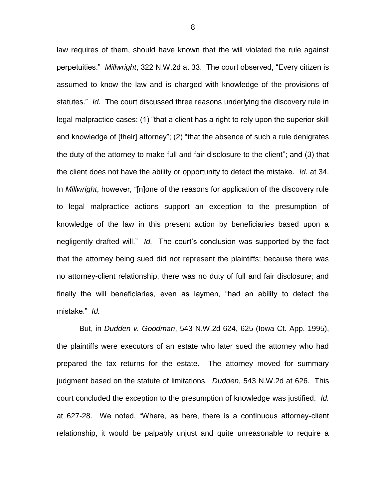law requires of them, should have known that the will violated the rule against perpetuities." *Millwright*, 322 N.W.2d at 33. The court observed, "Every citizen is assumed to know the law and is charged with knowledge of the provisions of statutes." *Id.* The court discussed three reasons underlying the discovery rule in legal-malpractice cases: (1) "that a client has a right to rely upon the superior skill and knowledge of [their] attorney"; (2) "that the absence of such a rule denigrates the duty of the attorney to make full and fair disclosure to the client"; and (3) that the client does not have the ability or opportunity to detect the mistake*. Id.* at 34. In *Millwright*, however, "[n]one of the reasons for application of the discovery rule to legal malpractice actions support an exception to the presumption of knowledge of the law in this present action by beneficiaries based upon a negligently drafted will." *Id.* The court's conclusion was supported by the fact that the attorney being sued did not represent the plaintiffs; because there was no attorney-client relationship, there was no duty of full and fair disclosure; and finally the will beneficiaries, even as laymen, "had an ability to detect the mistake." *Id.*

But, in *Dudden v. Goodman*, 543 N.W.2d 624, 625 (Iowa Ct. App. 1995), the plaintiffs were executors of an estate who later sued the attorney who had prepared the tax returns for the estate. The attorney moved for summary judgment based on the statute of limitations. *Dudden*, 543 N.W.2d at 626. This court concluded the exception to the presumption of knowledge was justified. *Id.*  at 627-28. We noted, "Where, as here, there is a continuous attorney-client relationship, it would be palpably unjust and quite unreasonable to require a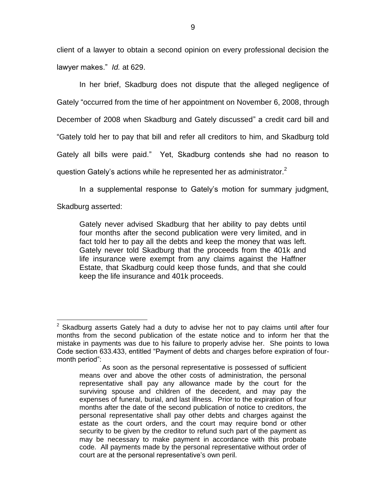client of a lawyer to obtain a second opinion on every professional decision the lawyer makes." *Id.* at 629.

In her brief, Skadburg does not dispute that the alleged negligence of Gately "occurred from the time of her appointment on November 6, 2008, through December of 2008 when Skadburg and Gately discussed" a credit card bill and "Gately told her to pay that bill and refer all creditors to him, and Skadburg told Gately all bills were paid." Yet, Skadburg contends she had no reason to question Gately's actions while he represented her as administrator.<sup>2</sup>

In a supplemental response to Gately's motion for summary judgment,

Skadburg asserted:

Gately never advised Skadburg that her ability to pay debts until four months after the second publication were very limited, and in fact told her to pay all the debts and keep the money that was left. Gately never told Skadburg that the proceeds from the 401k and life insurance were exempt from any claims against the Haffner Estate, that Skadburg could keep those funds, and that she could keep the life insurance and 401k proceeds.

 $\overline{a}$  $2$  Skadburg asserts Gately had a duty to advise her not to pay claims until after four months from the second publication of the estate notice and to inform her that the mistake in payments was due to his failure to properly advise her. She points to Iowa Code section 633.433, entitled "Payment of debts and charges before expiration of fourmonth period":

As soon as the personal representative is possessed of sufficient means over and above the other costs of administration, the personal representative shall pay any allowance made by the court for the surviving spouse and children of the decedent, and may pay the expenses of funeral, burial, and last illness. Prior to the expiration of four months after the date of the second publication of notice to creditors, the personal representative shall pay other debts and charges against the estate as the court orders, and the court may require bond or other security to be given by the creditor to refund such part of the payment as may be necessary to make payment in accordance with this probate code. All payments made by the personal representative without order of court are at the personal representative's own peril.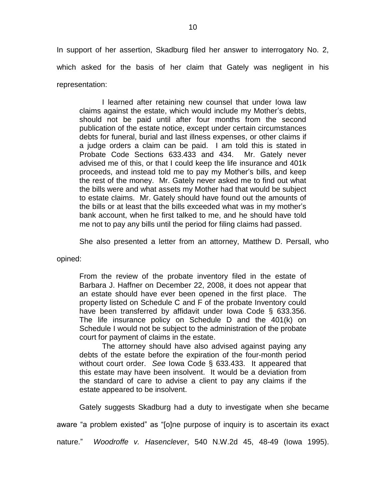In support of her assertion, Skadburg filed her answer to interrogatory No. 2, which asked for the basis of her claim that Gately was negligent in his representation:

I learned after retaining new counsel that under Iowa law claims against the estate, which would include my Mother's debts, should not be paid until after four months from the second publication of the estate notice, except under certain circumstances debts for funeral, burial and last illness expenses, or other claims if a judge orders a claim can be paid. I am told this is stated in Probate Code Sections 633.433 and 434. Mr. Gately never advised me of this, or that I could keep the life insurance and 401k proceeds, and instead told me to pay my Mother's bills, and keep the rest of the money. Mr. Gately never asked me to find out what the bills were and what assets my Mother had that would be subject to estate claims. Mr. Gately should have found out the amounts of the bills or at least that the bills exceeded what was in my mother's bank account, when he first talked to me, and he should have told me not to pay any bills until the period for filing claims had passed.

She also presented a letter from an attorney, Matthew D. Persall, who

opined:

From the review of the probate inventory filed in the estate of Barbara J. Haffner on December 22, 2008, it does not appear that an estate should have ever been opened in the first place. The property listed on Schedule C and F of the probate Inventory could have been transferred by affidavit under Iowa Code § 633.356. The life insurance policy on Schedule D and the 401(k) on Schedule I would not be subject to the administration of the probate court for payment of claims in the estate.

The attorney should have also advised against paying any debts of the estate before the expiration of the four-month period without court order. *See* Iowa Code § 633.433. It appeared that this estate may have been insolvent. It would be a deviation from the standard of care to advise a client to pay any claims if the estate appeared to be insolvent.

Gately suggests Skadburg had a duty to investigate when she became

aware "a problem existed" as "[o]ne purpose of inquiry is to ascertain its exact

nature." *Woodroffe v. Hasenclever*, 540 N.W.2d 45, 48-49 (Iowa 1995).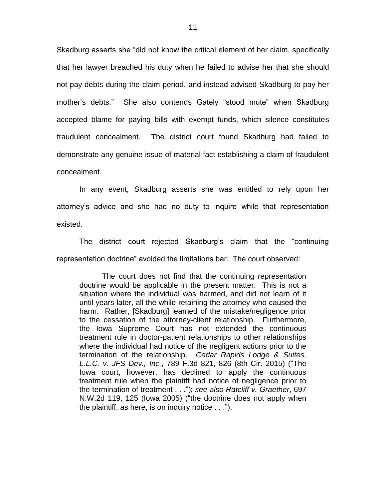Skadburg asserts she "did not know the critical element of her claim, specifically that her lawyer breached his duty when he failed to advise her that she should not pay debts during the claim period, and instead advised Skadburg to pay her mother's debts." She also contends Gately "stood mute" when Skadburg accepted blame for paying bills with exempt funds, which silence constitutes fraudulent concealment. The district court found Skadburg had failed to demonstrate any genuine issue of material fact establishing a claim of fraudulent concealment.

In any event, Skadburg asserts she was entitled to rely upon her attorney's advice and she had no duty to inquire while that representation existed.

The district court rejected Skadburg's claim that the "continuing representation doctrine" avoided the limitations bar. The court observed:

The court does not find that the continuing representation doctrine would be applicable in the present matter. This is not a situation where the individual was harmed, and did not learn of it until years later, all the while retaining the attorney who caused the harm. Rather, [Skadburg] learned of the mistake/negligence prior to the cessation of the attorney-client relationship. Furthermore, the Iowa Supreme Court has not extended the continuous treatment rule in doctor-patient relationships to other relationships where the individual had notice of the negligent actions prior to the termination of the relationship. *Cedar Rapids Lodge & Suites, L.L.C. v. JFS Dev., Inc.*, 789 F.3d 821, 826 (8th Cir. 2015) ("The Iowa court, however, has declined to apply the continuous treatment rule when the plaintiff had notice of negligence prior to the termination of treatment . . ."); *see also Ratcliff v. Graether*, 697 N.W.2d 119, 125 (Iowa 2005) ("the doctrine does not apply when the plaintiff, as here, is on inquiry notice . . .").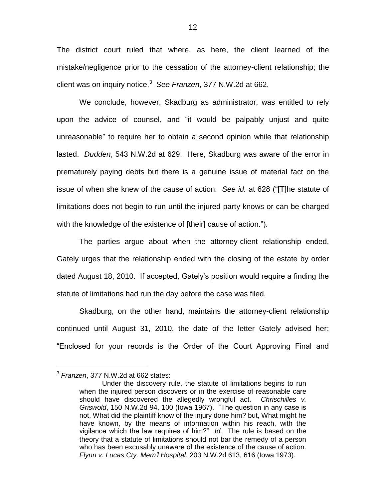The district court ruled that where, as here, the client learned of the mistake/negligence prior to the cessation of the attorney-client relationship; the client was on inquiry notice.<sup>3</sup> *See Franzen*, 377 N.W.2d at 662.

We conclude, however, Skadburg as administrator, was entitled to rely upon the advice of counsel, and "it would be palpably unjust and quite unreasonable" to require her to obtain a second opinion while that relationship lasted. *Dudden*, 543 N.W.2d at 629. Here, Skadburg was aware of the error in prematurely paying debts but there is a genuine issue of material fact on the issue of when she knew of the cause of action. *See id.* at 628 ("[T]he statute of limitations does not begin to run until the injured party knows or can be charged with the knowledge of the existence of [their] cause of action.").

The parties argue about when the attorney-client relationship ended. Gately urges that the relationship ended with the closing of the estate by order dated August 18, 2010. If accepted, Gately's position would require a finding the statute of limitations had run the day before the case was filed.

Skadburg, on the other hand, maintains the attorney-client relationship continued until August 31, 2010, the date of the letter Gately advised her: "Enclosed for your records is the Order of the Court Approving Final and

 $\overline{a}$ 

<sup>3</sup> *Franzen*, 377 N.W.2d at 662 states:

Under the discovery rule, the statute of limitations begins to run when the injured person discovers or in the exercise of reasonable care should have discovered the allegedly wrongful act. *Chrischilles v. Griswold*, 150 N.W.2d 94, 100 (Iowa 1967). "The question in any case is not, What did the plaintiff know of the injury done him? but, What might he have known, by the means of information within his reach, with the vigilance which the law requires of him?" *Id.* The rule is based on the theory that a statute of limitations should not bar the remedy of a person who has been excusably unaware of the existence of the cause of action. *Flynn v. Lucas Cty. Mem'l Hospital*, 203 N.W.2d 613, 616 (Iowa 1973).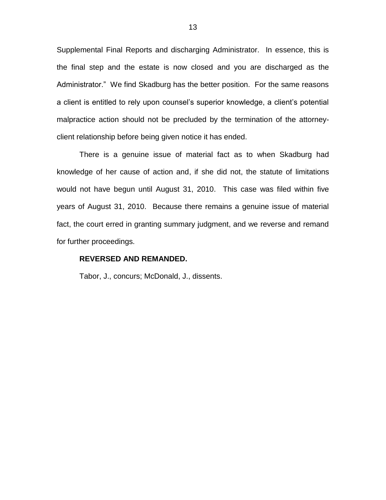Supplemental Final Reports and discharging Administrator. In essence, this is the final step and the estate is now closed and you are discharged as the Administrator." We find Skadburg has the better position. For the same reasons a client is entitled to rely upon counsel's superior knowledge, a client's potential malpractice action should not be precluded by the termination of the attorneyclient relationship before being given notice it has ended.

There is a genuine issue of material fact as to when Skadburg had knowledge of her cause of action and, if she did not, the statute of limitations would not have begun until August 31, 2010. This case was filed within five years of August 31, 2010. Because there remains a genuine issue of material fact, the court erred in granting summary judgment, and we reverse and remand for further proceedings.

#### **REVERSED AND REMANDED.**

Tabor, J., concurs; McDonald, J., dissents.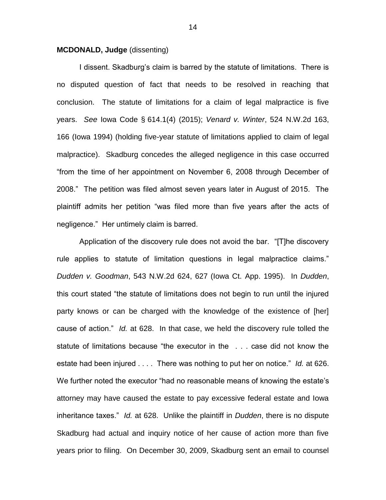## **MCDONALD, Judge** (dissenting)

I dissent. Skadburg's claim is barred by the statute of limitations. There is no disputed question of fact that needs to be resolved in reaching that conclusion. The statute of limitations for a claim of legal malpractice is five years. *See* Iowa Code § 614.1(4) (2015); *Venard v. Winter*, 524 N.W.2d 163, 166 (Iowa 1994) (holding five-year statute of limitations applied to claim of legal malpractice). Skadburg concedes the alleged negligence in this case occurred "from the time of her appointment on November 6, 2008 through December of 2008." The petition was filed almost seven years later in August of 2015. The plaintiff admits her petition "was filed more than five years after the acts of negligence." Her untimely claim is barred.

Application of the discovery rule does not avoid the bar. "[T]he discovery rule applies to statute of limitation questions in legal malpractice claims." *Dudden v. Goodman*, 543 N.W.2d 624, 627 (Iowa Ct. App. 1995). In *Dudden*, this court stated "the statute of limitations does not begin to run until the injured party knows or can be charged with the knowledge of the existence of [her] cause of action." *Id.* at 628. In that case, we held the discovery rule tolled the statute of limitations because "the executor in the . . . case did not know the estate had been injured . . . . There was nothing to put her on notice." *Id.* at 626. We further noted the executor "had no reasonable means of knowing the estate's attorney may have caused the estate to pay excessive federal estate and Iowa inheritance taxes." *Id.* at 628. Unlike the plaintiff in *Dudden*, there is no dispute Skadburg had actual and inquiry notice of her cause of action more than five years prior to filing. On December 30, 2009, Skadburg sent an email to counsel

14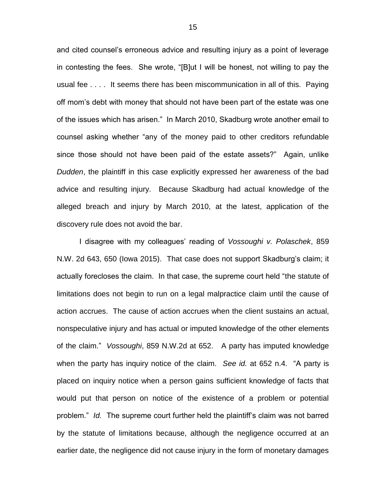and cited counsel's erroneous advice and resulting injury as a point of leverage in contesting the fees. She wrote, "[B]ut I will be honest, not willing to pay the usual fee . . . . It seems there has been miscommunication in all of this. Paying off mom's debt with money that should not have been part of the estate was one of the issues which has arisen." In March 2010, Skadburg wrote another email to counsel asking whether "any of the money paid to other creditors refundable since those should not have been paid of the estate assets?" Again, unlike *Dudden*, the plaintiff in this case explicitly expressed her awareness of the bad advice and resulting injury. Because Skadburg had actual knowledge of the alleged breach and injury by March 2010, at the latest, application of the discovery rule does not avoid the bar.

I disagree with my colleagues' reading of *Vossoughi v. Polaschek*, 859 N.W. 2d 643, 650 (Iowa 2015). That case does not support Skadburg's claim; it actually forecloses the claim. In that case, the supreme court held "the statute of limitations does not begin to run on a legal malpractice claim until the cause of action accrues. The cause of action accrues when the client sustains an actual, nonspeculative injury and has actual or imputed knowledge of the other elements of the claim." *Vossoughi*, 859 N.W.2d at 652. A party has imputed knowledge when the party has inquiry notice of the claim. *See id.* at 652 n.4. "A party is placed on inquiry notice when a person gains sufficient knowledge of facts that would put that person on notice of the existence of a problem or potential problem." *Id.* The supreme court further held the plaintiff's claim was not barred by the statute of limitations because, although the negligence occurred at an earlier date, the negligence did not cause injury in the form of monetary damages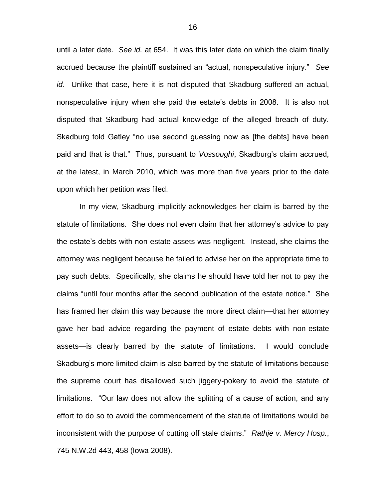until a later date. *See id.* at 654. It was this later date on which the claim finally accrued because the plaintiff sustained an "actual, nonspeculative injury." *See id.* Unlike that case, here it is not disputed that Skadburg suffered an actual, nonspeculative injury when she paid the estate's debts in 2008. It is also not disputed that Skadburg had actual knowledge of the alleged breach of duty. Skadburg told Gatley "no use second guessing now as [the debts] have been paid and that is that." Thus, pursuant to *Vossoughi*, Skadburg's claim accrued, at the latest, in March 2010, which was more than five years prior to the date upon which her petition was filed.

In my view, Skadburg implicitly acknowledges her claim is barred by the statute of limitations. She does not even claim that her attorney's advice to pay the estate's debts with non-estate assets was negligent. Instead, she claims the attorney was negligent because he failed to advise her on the appropriate time to pay such debts. Specifically, she claims he should have told her not to pay the claims "until four months after the second publication of the estate notice." She has framed her claim this way because the more direct claim—that her attorney gave her bad advice regarding the payment of estate debts with non-estate assets—is clearly barred by the statute of limitations. I would conclude Skadburg's more limited claim is also barred by the statute of limitations because the supreme court has disallowed such jiggery-pokery to avoid the statute of limitations. "Our law does not allow the splitting of a cause of action, and any effort to do so to avoid the commencement of the statute of limitations would be inconsistent with the purpose of cutting off stale claims." *Rathje v. Mercy Hosp.*, 745 N.W.2d 443, 458 (Iowa 2008).